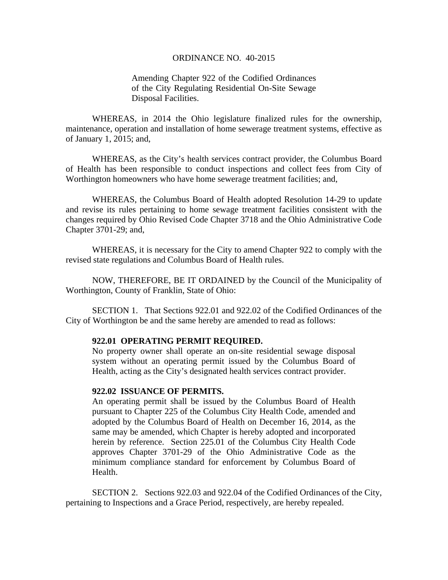#### ORDINANCE NO. 40-2015

# Amending Chapter 922 of the Codified Ordinances of the City Regulating Residential On-Site Sewage Disposal Facilities.

WHEREAS, in 2014 the Ohio legislature finalized rules for the ownership, maintenance, operation and installation of home sewerage treatment systems, effective as of January 1, 2015; and,

WHEREAS, as the City's health services contract provider, the Columbus Board of Health has been responsible to conduct inspections and collect fees from City of Worthington homeowners who have home sewerage treatment facilities; and,

WHEREAS, the Columbus Board of Health adopted Resolution 14-29 to update and revise its rules pertaining to home sewage treatment facilities consistent with the changes required by Ohio Revised Code Chapter 3718 and the Ohio Administrative Code Chapter 3701-29; and,

WHEREAS, it is necessary for the City to amend Chapter 922 to comply with the revised state regulations and Columbus Board of Health rules.

 NOW, THEREFORE, BE IT ORDAINED by the Council of the Municipality of Worthington, County of Franklin, State of Ohio:

 SECTION 1. That Sections 922.01 and 922.02 of the Codified Ordinances of the City of Worthington be and the same hereby are amended to read as follows:

### **922.01 OPERATING PERMIT REQUIRED.**

 No property owner shall operate an on-site residential sewage disposal system without an operating permit issued by the Columbus Board of Health, acting as the City's designated health services contract provider.

## **922.02 ISSUANCE OF PERMITS.**

An operating permit shall be issued by the Columbus Board of Health pursuant to Chapter 225 of the Columbus City Health Code, amended and adopted by the Columbus Board of Health on December 16, 2014, as the same may be amended, which Chapter is hereby adopted and incorporated herein by reference. Section 225.01 of the Columbus City Health Code approves Chapter 3701-29 of the Ohio Administrative Code as the minimum compliance standard for enforcement by Columbus Board of Health.

 SECTION 2. Sections 922.03 and 922.04 of the Codified Ordinances of the City, pertaining to Inspections and a Grace Period, respectively, are hereby repealed.